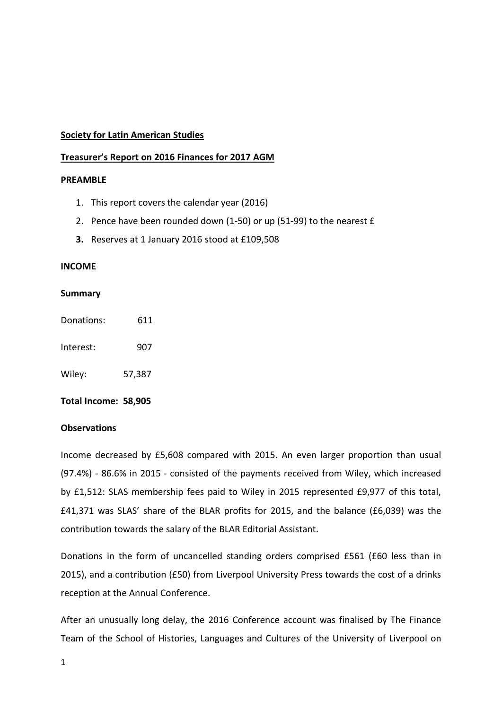# **Society for Latin American Studies**

# **Treasurer's Report on 2016 Finances for 2017 AGM**

## **PREAMBLE**

- 1. This report covers the calendar year (2016)
- 2. Pence have been rounded down (1-50) or up (51-99) to the nearest £
- **3.** Reserves at 1 January 2016 stood at £109,508

## **INCOME**

# **Summary**

- Donations: 611
- Interest: 907

Wiley: 57,387

**Total Income: 58,905**

# **Observations**

Income decreased by £5,608 compared with 2015. An even larger proportion than usual (97.4%) - 86.6% in 2015 - consisted of the payments received from Wiley, which increased by £1,512: SLAS membership fees paid to Wiley in 2015 represented £9,977 of this total, £41,371 was SLAS' share of the BLAR profits for 2015, and the balance (£6,039) was the contribution towards the salary of the BLAR Editorial Assistant.

Donations in the form of uncancelled standing orders comprised £561 (£60 less than in 2015), and a contribution (£50) from Liverpool University Press towards the cost of a drinks reception at the Annual Conference.

After an unusually long delay, the 2016 Conference account was finalised by The Finance Team of the School of Histories, Languages and Cultures of the University of Liverpool on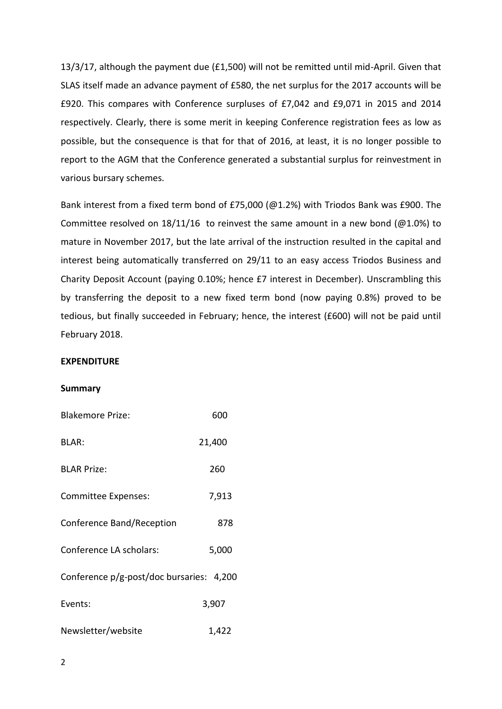13/3/17, although the payment due (£1,500) will not be remitted until mid-April. Given that SLAS itself made an advance payment of £580, the net surplus for the 2017 accounts will be £920. This compares with Conference surpluses of £7,042 and £9,071 in 2015 and 2014 respectively. Clearly, there is some merit in keeping Conference registration fees as low as possible, but the consequence is that for that of 2016, at least, it is no longer possible to report to the AGM that the Conference generated a substantial surplus for reinvestment in various bursary schemes.

Bank interest from a fixed term bond of £75,000 (@1.2%) with Triodos Bank was £900. The Committee resolved on  $18/11/16$  to reinvest the same amount in a new bond (@1.0%) to mature in November 2017, but the late arrival of the instruction resulted in the capital and interest being automatically transferred on 29/11 to an easy access Triodos Business and Charity Deposit Account (paying 0.10%; hence £7 interest in December). Unscrambling this by transferring the deposit to a new fixed term bond (now paying 0.8%) proved to be tedious, but finally succeeded in February; hence, the interest (£600) will not be paid until February 2018.

### **EXPENDITURE**

#### **Summary**

| <b>Blakemore Prize:</b>                  | 600    |
|------------------------------------------|--------|
| <b>BLAR:</b>                             | 21,400 |
| <b>BLAR Prize:</b>                       | 260    |
| Committee Expenses:                      | 7,913  |
| Conference Band/Reception                | 878    |
| Conference LA scholars:                  | 5,000  |
| Conference p/g-post/doc bursaries: 4,200 |        |
| Events:                                  | 3,907  |
| Newsletter/website                       | 1,422  |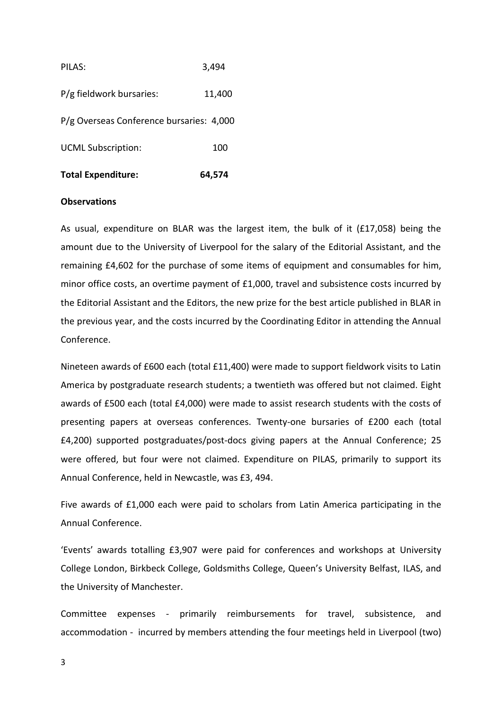| <b>Total Expenditure:</b>                | 64,574 |
|------------------------------------------|--------|
| <b>UCML Subscription:</b>                | 100    |
| P/g Overseas Conference bursaries: 4,000 |        |
| P/g fieldwork bursaries:                 | 11,400 |
| PILAS:                                   | 3,494  |

## **Observations**

As usual, expenditure on BLAR was the largest item, the bulk of it (£17,058) being the amount due to the University of Liverpool for the salary of the Editorial Assistant, and the remaining £4,602 for the purchase of some items of equipment and consumables for him, minor office costs, an overtime payment of £1,000, travel and subsistence costs incurred by the Editorial Assistant and the Editors, the new prize for the best article published in BLAR in the previous year, and the costs incurred by the Coordinating Editor in attending the Annual Conference.

Nineteen awards of £600 each (total £11,400) were made to support fieldwork visits to Latin America by postgraduate research students; a twentieth was offered but not claimed. Eight awards of £500 each (total £4,000) were made to assist research students with the costs of presenting papers at overseas conferences. Twenty-one bursaries of £200 each (total £4,200) supported postgraduates/post-docs giving papers at the Annual Conference; 25 were offered, but four were not claimed. Expenditure on PILAS, primarily to support its Annual Conference, held in Newcastle, was £3, 494.

Five awards of £1,000 each were paid to scholars from Latin America participating in the Annual Conference.

'Events' awards totalling £3,907 were paid for conferences and workshops at University College London, Birkbeck College, Goldsmiths College, Queen's University Belfast, ILAS, and the University of Manchester.

Committee expenses - primarily reimbursements for travel, subsistence, and accommodation - incurred by members attending the four meetings held in Liverpool (two)

3